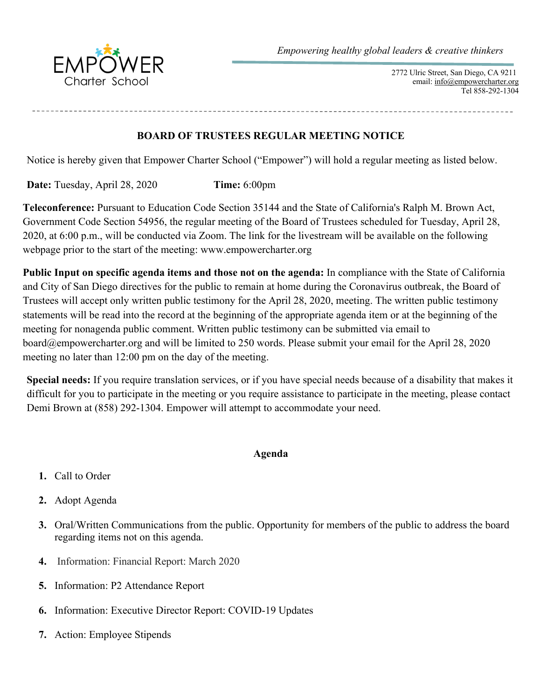

 2772 Ulric Street, San Diego, CA 9211 email: info@empowercharter.org Tel 858-292-1304

**BOARD OF TRUSTEES REGULAR MEETING NOTICE**

Notice is hereby given that Empower Charter School ("Empower") will hold a regular meeting as listed below.

**Date:** Tuesday, April 28, 2020 **Time:** 6:00pm

**Teleconference:** Pursuant to Education Code Section 35144 and the State of California's Ralph M. Brown Act, Government Code Section 54956, the regular meeting of the Board of Trustees scheduled for Tuesday, April 28, 2020, at 6:00 p.m., will be conducted via Zoom. The link for the livestream will be available on the following webpage prior to the start of the meeting: www.empowercharter.org

**Public Input on specific agenda items and those not on the agenda:** In compliance with the State of California and City of San Diego directives for the public to remain at home during the Coronavirus outbreak, the Board of Trustees will accept only written public testimony for the April 28, 2020, meeting. The written public testimony statements will be read into the record at the beginning of the appropriate agenda item or at the beginning of the meeting for nonagenda public comment. Written public testimony can be submitted via email to board@empowercharter.org and will be limited to 250 words. Please submit your email for the April 28, 2020 meeting no later than 12:00 pm on the day of the meeting.

**Special needs:** If you require translation services, or if you have special needs because of a disability that makes it difficult for you to participate in the meeting or you require assistance to participate in the meeting, please contact Demi Brown at (858) 292-1304. Empower will attempt to accommodate your need.

## **Agenda**

- **1.** Call to Order
- **2.** Adopt Agenda
- **3.** Oral/Written Communications from the public. Opportunity for members of the public to address the board regarding items not on this agenda.
- **4.** Information: Financial Report: March 2020
- **5.** Information: P2 Attendance Report
- **6.** Information: Executive Director Report: COVID-19 Updates
- **7.** Action: Employee Stipends